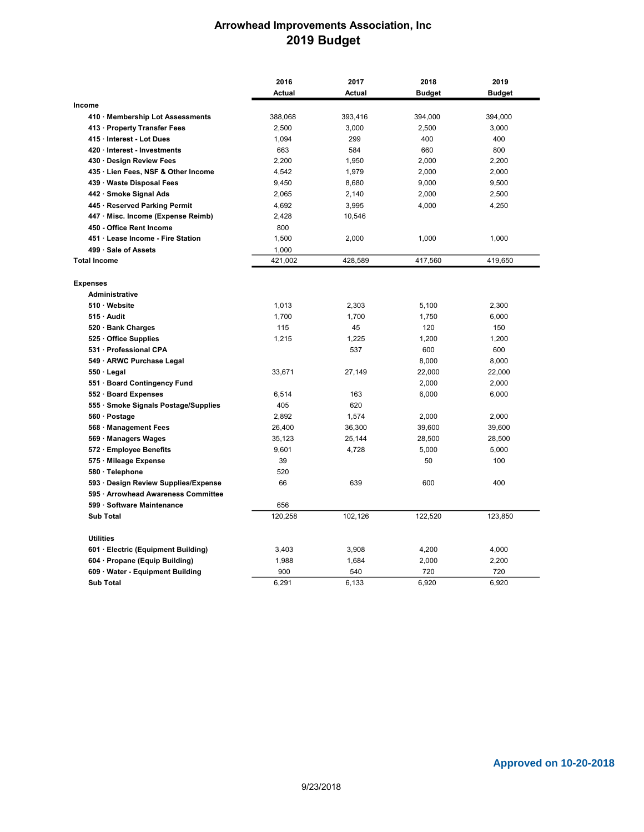## Arrowhead Improvements Association, Inc 2019 Budget

|                                          | 2016    | 2017    | 2018          | 2019          |  |
|------------------------------------------|---------|---------|---------------|---------------|--|
|                                          | Actual  | Actual  | <b>Budget</b> | <b>Budget</b> |  |
| Income                                   |         |         |               |               |  |
| 410 Membership Lot Assessments           | 388,068 | 393,416 | 394,000       | 394,000       |  |
| 413 Property Transfer Fees               | 2,500   | 3,000   | 2,500         | 3,000         |  |
| 415 Interest - Lot Dues                  | 1,094   | 299     | 400           | 400           |  |
| 420 Interest - Investments               | 663     | 584     | 660           | 800           |  |
| 430 Design Review Fees                   | 2,200   | 1,950   | 2,000         | 2,200         |  |
| 435 · Lien Fees, NSF & Other Income      | 4,542   | 1,979   | 2,000         | 2,000         |  |
| 439 Waste Disposal Fees                  | 9,450   | 8,680   | 9,000         | 9,500         |  |
| 442 Smoke Signal Ads                     | 2,065   | 2,140   | 2,000         | 2,500         |  |
| 445 · Reserved Parking Permit            | 4,692   | 3,995   | 4,000         | 4,250         |  |
| 447 Misc. Income (Expense Reimb)         | 2,428   | 10,546  |               |               |  |
| 450 - Office Rent Income                 | 800     |         |               |               |  |
| 451 Lease Income - Fire Station          | 1,500   | 2,000   | 1,000         | 1,000         |  |
| 499 Sale of Assets                       | 1,000   |         |               |               |  |
| <b>Total Income</b>                      | 421,002 | 428,589 | 417,560       | 419,650       |  |
|                                          |         |         |               |               |  |
| <b>Expenses</b><br><b>Administrative</b> |         |         |               |               |  |
| 510 Website                              | 1,013   | 2,303   | 5,100         | 2,300         |  |
| 515 Audit                                | 1,700   | 1,700   | 1,750         | 6,000         |  |
| 520 · Bank Charges                       | 115     | 45      | 120           | 150           |  |
| 525 Office Supplies                      | 1,215   | 1,225   | 1,200         | 1,200         |  |
| 531 Professional CPA                     |         | 537     | 600           | 600           |  |
|                                          |         |         |               |               |  |
| 549 · ARWC Purchase Legal                |         |         | 8,000         | 8,000         |  |
| $550 \cdot$ Legal                        | 33,671  | 27,149  | 22,000        | 22,000        |  |
| 551 Board Contingency Fund               |         |         | 2,000         | 2,000         |  |
| 552 · Board Expenses                     | 6,514   | 163     | 6,000         | 6,000         |  |
| 555 Smoke Signals Postage/Supplies       | 405     | 620     |               |               |  |
| 560 · Postage                            | 2,892   | 1,574   | 2,000         | 2,000         |  |
| 568 Management Fees                      | 26,400  | 36,300  | 39,600        | 39,600        |  |
| 569 · Managers Wages                     | 35,123  | 25,144  | 28,500        | 28,500        |  |
| 572 Employee Benefits                    | 9,601   | 4,728   | 5,000         | 5,000         |  |
| 575 · Mileage Expense                    | 39      |         | 50            | 100           |  |
| 580 · Telephone                          | 520     |         |               |               |  |
| 593 · Design Review Supplies/Expense     | 66      | 639     | 600           | 400           |  |
| 595 · Arrowhead Awareness Committee      |         |         |               |               |  |
| 599 Software Maintenance                 | 656     |         |               |               |  |
| <b>Sub Total</b>                         | 120,258 | 102,126 | 122,520       | 123,850       |  |
| <b>Utilities</b>                         |         |         |               |               |  |
| 601 Electric (Equipment Building)        | 3,403   | 3,908   | 4,200         | 4,000         |  |
| 604 · Propane (Equip Building)           | 1,988   | 1,684   | 2,000         | 2,200         |  |
| 609 Water - Equipment Building           | 900     | 540     | 720           | 720           |  |
| <b>Sub Total</b>                         | 6,291   | 6.133   | 6.920         | 6.920         |  |